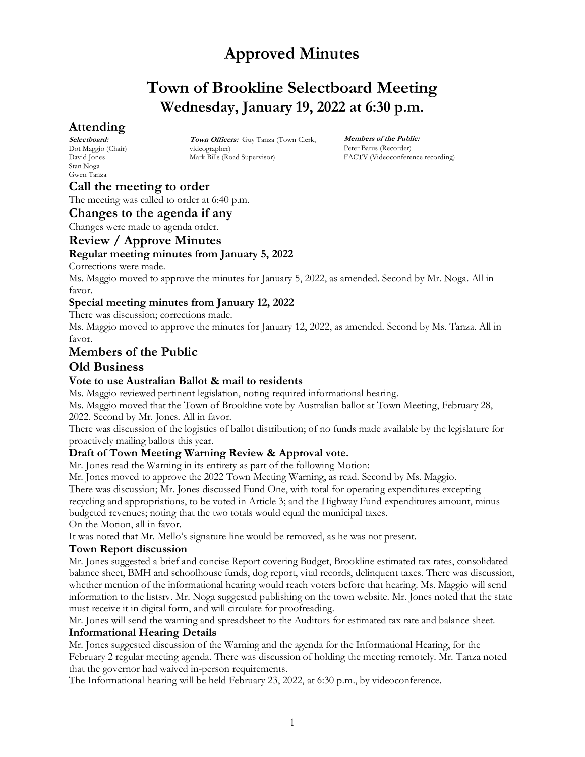## **Town of Brookline Selectboard Meeting Wednesday, January 19, 2022 at 6:30 p.m.**

## **Attending**

**Selectboard:** Dot Maggio (Chair) David Jones Stan Noga Gwen Tanza

**Town Officers:** Guy Tanza (Town Clerk, videographer) Mark Bills (Road Supervisor)

**Members of the Public:** Peter Barus (Recorder) FACTV (Videoconference recording)

## **Call the meeting to order**

The meeting was called to order at 6:40 p.m.

#### **Changes to the agenda if any**

Changes were made to agenda order.

#### **Review / Approve Minutes**

#### **Regular meeting minutes from January 5, 2022**

Corrections were made.

Ms. Maggio moved to approve the minutes for January 5, 2022, as amended. Second by Mr. Noga. All in favor.

#### **Special meeting minutes from January 12, 2022**

There was discussion; corrections made.

Ms. Maggio moved to approve the minutes for January 12, 2022, as amended. Second by Ms. Tanza. All in favor.

### **Members of the Public**

#### **Old Business**

#### **Vote to use Australian Ballot & mail to residents**

Ms. Maggio reviewed pertinent legislation, noting required informational hearing.

Ms. Maggio moved that the Town of Brookline vote by Australian ballot at Town Meeting, February 28, 2022. Second by Mr. Jones. All in favor.

There was discussion of the logistics of ballot distribution; of no funds made available by the legislature for proactively mailing ballots this year.

#### **Draft of Town Meeting Warning Review & Approval vote.**

Mr. Jones read the Warning in its entirety as part of the following Motion:

Mr. Jones moved to approve the 2022 Town Meeting Warning, as read. Second by Ms. Maggio.

There was discussion; Mr. Jones discussed Fund One, with total for operating expenditures excepting recycling and appropriations, to be voted in Article 3; and the Highway Fund expenditures amount, minus

budgeted revenues; noting that the two totals would equal the municipal taxes. On the Motion, all in favor.

It was noted that Mr. Mello's signature line would be removed, as he was not present.

#### **Town Report discussion**

Mr. Jones suggested a brief and concise Report covering Budget, Brookline estimated tax rates, consolidated balance sheet, BMH and schoolhouse funds, dog report, vital records, delinquent taxes. There was discussion, whether mention of the informational hearing would reach voters before that hearing. Ms. Maggio will send information to the listsrv. Mr. Noga suggested publishing on the town website. Mr. Jones noted that the state must receive it in digital form, and will circulate for proofreading.

Mr. Jones will send the warning and spreadsheet to the Auditors for estimated tax rate and balance sheet. **Informational Hearing Details** 

Mr. Jones suggested discussion of the Warning and the agenda for the Informational Hearing, for the February 2 regular meeting agenda. There was discussion of holding the meeting remotely. Mr. Tanza noted that the governor had waived in-person requirements.

The Informational hearing will be held February 23, 2022, at 6:30 p.m., by videoconference.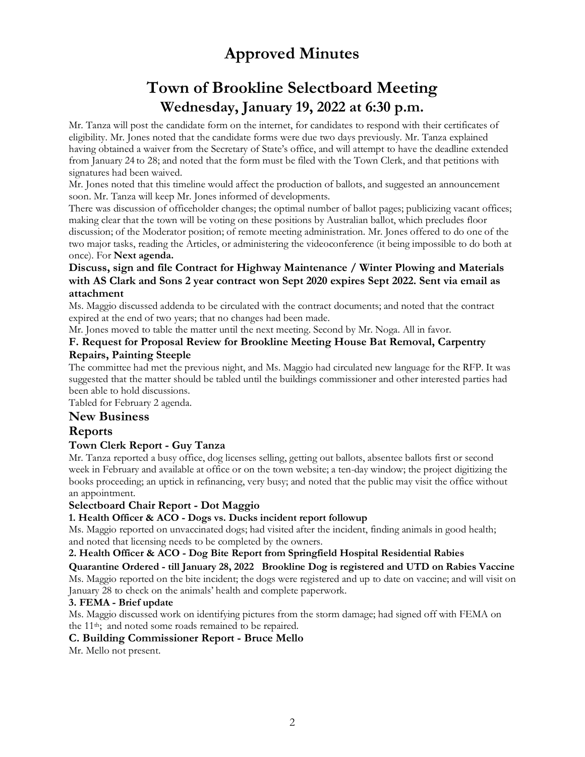# **Town of Brookline Selectboard Meeting Wednesday, January 19, 2022 at 6:30 p.m.**

Mr. Tanza will post the candidate form on the internet, for candidates to respond with their certificates of eligibility. Mr. Jones noted that the candidate forms were due two days previously. Mr. Tanza explained having obtained a waiver from the Secretary of State's office, and will attempt to have the deadline extended from January 24 to 28; and noted that the form must be filed with the Town Clerk, and that petitions with signatures had been waived.

Mr. Jones noted that this timeline would affect the production of ballots, and suggested an announcement soon. Mr. Tanza will keep Mr. Jones informed of developments.

There was discussion of officeholder changes; the optimal number of ballot pages; publicizing vacant offices; making clear that the town will be voting on these positions by Australian ballot, which precludes floor discussion; of the Moderator position; of remote meeting administration. Mr. Jones offered to do one of the two major tasks, reading the Articles, or administering the videoconference (it being impossible to do both at once). For **Next agenda.**

#### **Discuss, sign and file Contract for Highway Maintenance / Winter Plowing and Materials with AS Clark and Sons 2 year contract won Sept 2020 expires Sept 2022. Sent via email as attachment**

Ms. Maggio discussed addenda to be circulated with the contract documents; and noted that the contract expired at the end of two years; that no changes had been made.

Mr. Jones moved to table the matter until the next meeting. Second by Mr. Noga. All in favor.

#### **F. Request for Proposal Review for Brookline Meeting House Bat Removal, Carpentry Repairs, Painting Steeple**

The committee had met the previous night, and Ms. Maggio had circulated new language for the RFP. It was suggested that the matter should be tabled until the buildings commissioner and other interested parties had been able to hold discussions.

Tabled for February 2 agenda.

### **New Business**

### **Reports**

### **Town Clerk Report - Guy Tanza**

Mr. Tanza reported a busy office, dog licenses selling, getting out ballots, absentee ballots first or second week in February and available at office or on the town website; a ten-day window; the project digitizing the books proceeding; an uptick in refinancing, very busy; and noted that the public may visit the office without an appointment.

#### **Selectboard Chair Report - Dot Maggio**

#### **1. Health Officer & ACO - Dogs vs. Ducks incident report followup**

Ms. Maggio reported on unvaccinated dogs; had visited after the incident, finding animals in good health; and noted that licensing needs to be completed by the owners.

#### **2. Health Officer & ACO - Dog Bite Report from Springfield Hospital Residential Rabies**

**Quarantine Ordered - till January 28, 2022 Brookline Dog is registered and UTD on Rabies Vaccine** Ms. Maggio reported on the bite incident; the dogs were registered and up to date on vaccine; and will visit on January 28 to check on the animals' health and complete paperwork.

#### **3. FEMA - Brief update**

Ms. Maggio discussed work on identifying pictures from the storm damage; had signed off with FEMA on the 11<sup>th</sup>; and noted some roads remained to be repaired.

#### **C. Building Commissioner Report - Bruce Mello**

Mr. Mello not present.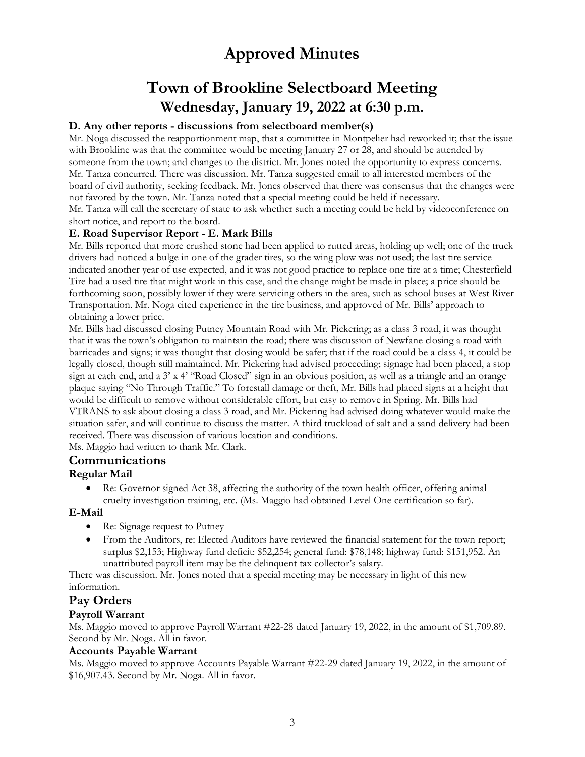# **Town of Brookline Selectboard Meeting Wednesday, January 19, 2022 at 6:30 p.m.**

#### **D. Any other reports - discussions from selectboard member(s)**

Mr. Noga discussed the reapportionment map, that a committee in Montpelier had reworked it; that the issue with Brookline was that the committee would be meeting January 27 or 28, and should be attended by someone from the town; and changes to the district. Mr. Jones noted the opportunity to express concerns. Mr. Tanza concurred. There was discussion. Mr. Tanza suggested email to all interested members of the board of civil authority, seeking feedback. Mr. Jones observed that there was consensus that the changes were not favored by the town. Mr. Tanza noted that a special meeting could be held if necessary. Mr. Tanza will call the secretary of state to ask whether such a meeting could be held by videoconference on short notice, and report to the board.

#### **E. Road Supervisor Report - E. Mark Bills**

Mr. Bills reported that more crushed stone had been applied to rutted areas, holding up well; one of the truck drivers had noticed a bulge in one of the grader tires, so the wing plow was not used; the last tire service indicated another year of use expected, and it was not good practice to replace one tire at a time; Chesterfield Tire had a used tire that might work in this case, and the change might be made in place; a price should be forthcoming soon, possibly lower if they were servicing others in the area, such as school buses at West River Transportation. Mr. Noga cited experience in the tire business, and approved of Mr. Bills' approach to obtaining a lower price.

Mr. Bills had discussed closing Putney Mountain Road with Mr. Pickering; as a class 3 road, it was thought that it was the town's obligation to maintain the road; there was discussion of Newfane closing a road with barricades and signs; it was thought that closing would be safer; that if the road could be a class 4, it could be legally closed, though still maintained. Mr. Pickering had advised proceeding; signage had been placed, a stop sign at each end, and a 3' x 4' "Road Closed" sign in an obvious position, as well as a triangle and an orange plaque saying "No Through Traffic." To forestall damage or theft, Mr. Bills had placed signs at a height that would be difficult to remove without considerable effort, but easy to remove in Spring. Mr. Bills had VTRANS to ask about closing a class 3 road, and Mr. Pickering had advised doing whatever would make the situation safer, and will continue to discuss the matter. A third truckload of salt and a sand delivery had been received. There was discussion of various location and conditions.

Ms. Maggio had written to thank Mr. Clark.

#### **Communications**

#### **Regular Mail**

• Re: Governor signed Act 38, affecting the authority of the town health officer, offering animal cruelty investigation training, etc. (Ms. Maggio had obtained Level One certification so far).

#### **E-Mail**

- Re: Signage request to Putney
- From the Auditors, re: Elected Auditors have reviewed the financial statement for the town report; surplus \$2,153; Highway fund deficit: \$52,254; general fund: \$78,148; highway fund: \$151,952. An unattributed payroll item may be the delinquent tax collector's salary.

There was discussion. Mr. Jones noted that a special meeting may be necessary in light of this new information.

### **Pay Orders**

#### **Payroll Warrant**

Ms. Maggio moved to approve Payroll Warrant #22-28 dated January 19, 2022, in the amount of \$1,709.89. Second by Mr. Noga. All in favor.

#### **Accounts Payable Warrant**

Ms. Maggio moved to approve Accounts Payable Warrant #22-29 dated January 19, 2022, in the amount of \$16,907.43. Second by Mr. Noga. All in favor.